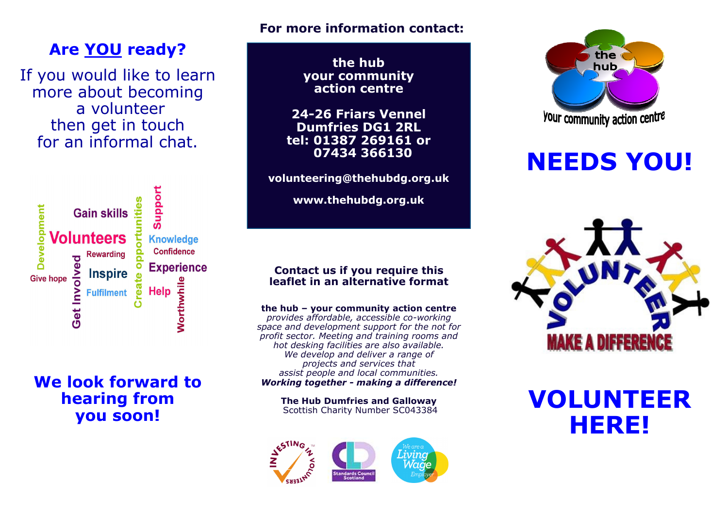### For more information contact:

# Are YOU ready?

If you would like to learn more about becoming a volunteer then get in touch for an informal chat.



## We look forward to hearing from you soon!

the hub your community action centre

24-26 Friars Vennel Dumfries DG1 2RL tel: 01387 269161 or 07434 366130

volunteering@thehubdg.org.uk

www.thehubdg.org.uk

# Contact us if you require this leaflet in an alternative format

the hub – your community action centre provides affordable, accessible co-working space and development support for the not for profit sector. Meeting and training rooms and hot desking facilities are also available. We develop and deliver a range of projects and services that assist people and local communities.Working together - making a difference!

> The Hub Dumfries and Galloway Scottish Charity Number SC043384





# NEEDS YOU!



# VOLUNTEER HERE!